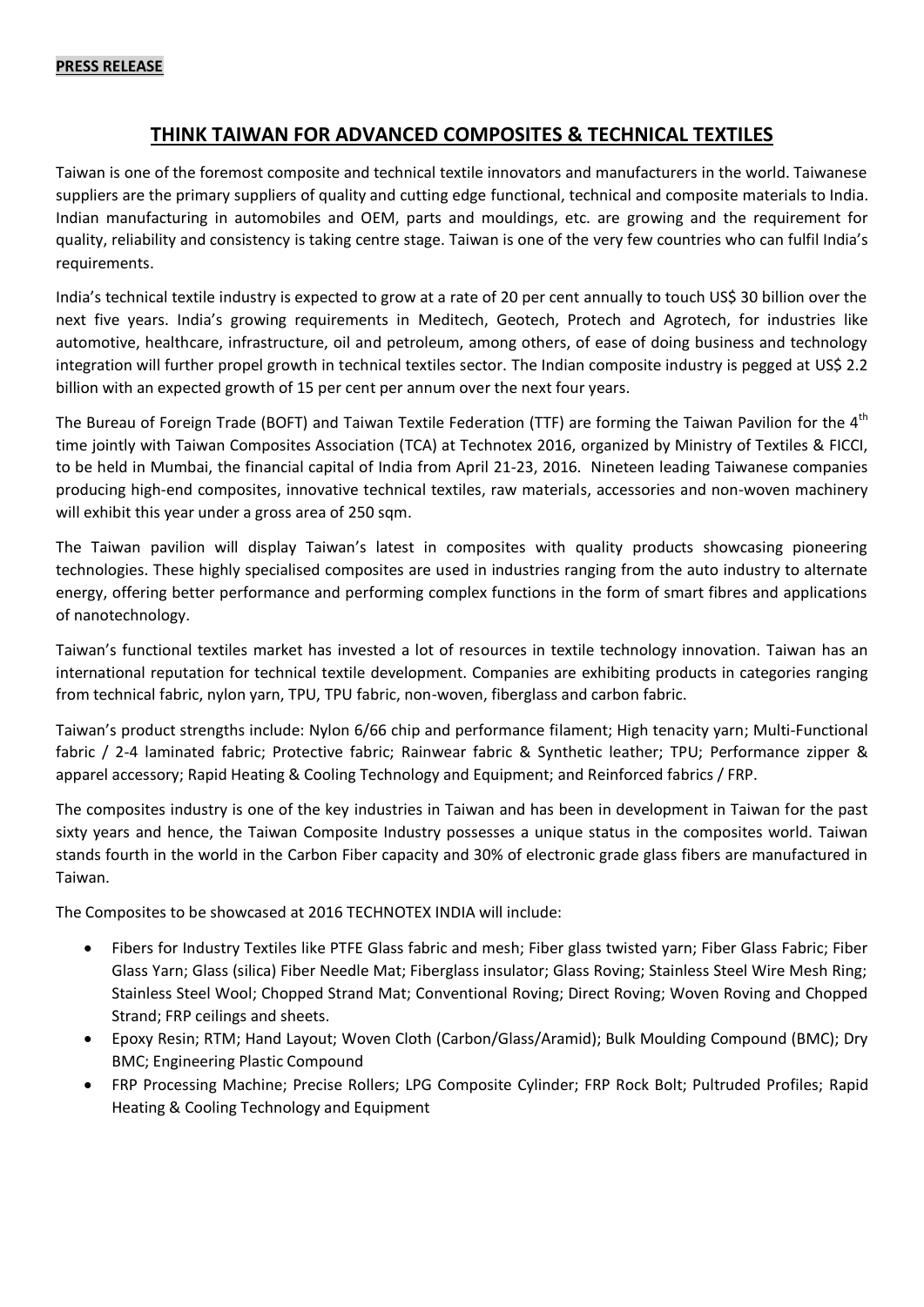## **PRESS RELEASE**

## **THINK TAIWAN FOR ADVANCED COMPOSITES & TECHNICAL TEXTILES**

Taiwan is one of the foremost composite and technical textile innovators and manufacturers in the world. Taiwanese suppliers are the primary suppliers of quality and cutting edge functional, technical and composite materials to India. Indian manufacturing in automobiles and OEM, parts and mouldings, etc. are growing and the requirement for quality, reliability and consistency is taking centre stage. Taiwan is one of the very few countries who can fulfil India's requirements.

India's technical textile industry is expected to grow at a rate of 20 per cent annually to touch US\$ 30 billion over the next five years. India's growing requirements in Meditech, Geotech, Protech and Agrotech, for industries like automotive, healthcare, infrastructure, oil and petroleum, among others, of ease of doing business and technology integration will further propel growth in technical textiles sector. The Indian composite industry is pegged at US\$ 2.2 billion with an expected growth of 15 per cent per annum over the next four years.

The Bureau of Foreign Trade (BOFT) and Taiwan Textile Federation (TTF) are forming the Taiwan Pavilion for the 4<sup>th</sup> time jointly with Taiwan Composites Association (TCA) at Technotex 2016, organized by Ministry of Textiles & FICCI, to be held in Mumbai, the financial capital of India from April 21-23, 2016. Nineteen leading Taiwanese companies producing high-end composites, innovative technical textiles, raw materials, accessories and non-woven machinery will exhibit this year under a gross area of 250 sqm.

The Taiwan pavilion will display Taiwan's latest in composites with quality products showcasing pioneering technologies. These highly specialised composites are used in industries ranging from the auto industry to alternate energy, offering better performance and performing complex functions in the form of smart fibres and applications of nanotechnology.

Taiwan's functional textiles market has invested a lot of resources in textile technology innovation. Taiwan has an international reputation for technical textile development. Companies are exhibiting products in categories ranging from technical fabric, nylon yarn, TPU, TPU fabric, non-woven, fiberglass and carbon fabric.

Taiwan's product strengths include: Nylon 6/66 chip and performance filament; High tenacity yarn; Multi-Functional fabric / 2-4 laminated fabric; Protective fabric; Rainwear fabric & Synthetic leather; TPU; Performance zipper & apparel accessory; Rapid Heating & Cooling Technology and Equipment; and Reinforced fabrics / FRP.

The composites industry is one of the key industries in Taiwan and has been in development in Taiwan for the past sixty years and hence, the Taiwan Composite Industry possesses a unique status in the composites world. Taiwan stands fourth in the world in the Carbon Fiber capacity and 30% of electronic grade glass fibers are manufactured in Taiwan.

The Composites to be showcased at 2016 TECHNOTEX INDIA will include:

- Fibers for Industry Textiles like PTFE Glass fabric and mesh; Fiber glass twisted yarn; Fiber Glass Fabric; Fiber Glass Yarn; Glass (silica) Fiber Needle Mat; Fiberglass insulator; Glass Roving; Stainless Steel Wire Mesh Ring; Stainless Steel Wool; Chopped Strand Mat; Conventional Roving; Direct Roving; Woven Roving and Chopped Strand; FRP ceilings and sheets.
- Epoxy Resin; RTM; Hand Layout; Woven Cloth (Carbon/Glass/Aramid); Bulk Moulding Compound (BMC); Dry BMC; Engineering Plastic Compound
- FRP Processing Machine; Precise Rollers; LPG Composite Cylinder; FRP Rock Bolt; Pultruded Profiles; Rapid Heating & Cooling Technology and Equipment